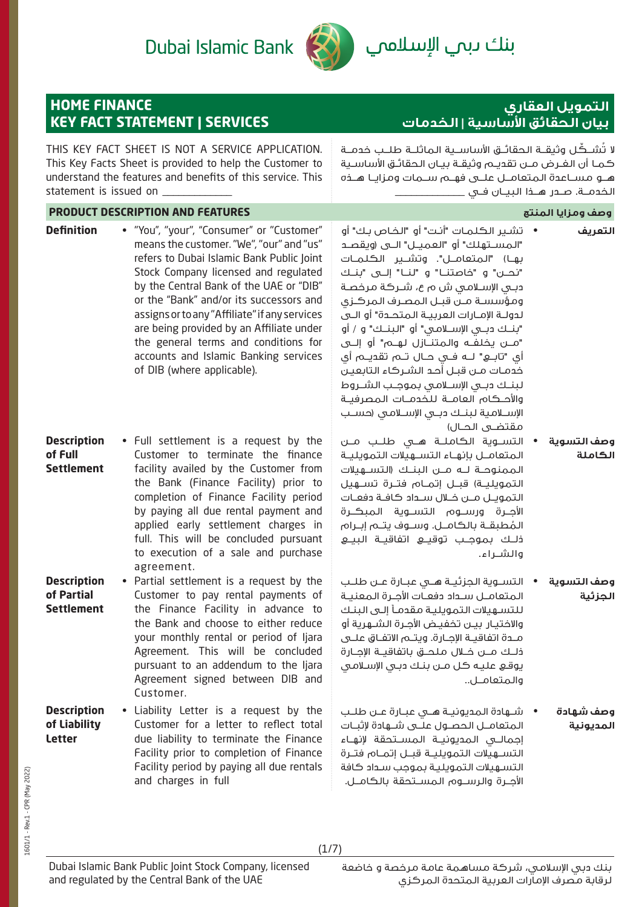# Dubai Islamic Bank



# بنك ىبم الإسلامم

## **HOME FINANCE KEY FACT STATEMENT | SERVICES**

# **التمويل العقاري بيان الحقائق األساسية | الخدمات**

THIS KEY FACT SHEET IS NOT A SERVICE APPLICATION. This Key Facts Sheet is provided to help the Customer to understand the features and benefits of this service. This statement is issued on لا تُشــكِّـل وثيقــة الـحقائــق الأساســـية الـماثلــة طلــب خدمــة كمـا أن الغـرض مـن تقديـم وثيقـة بيـان الحقائـق األساسـية هــو مســاعدة المتعامــل علــى فهــم ســمات ومزايــا هــذه الخدمــة. صــدر هــذا البيــان فــي \_\_\_\_\_\_\_\_\_\_\_\_\_ **PRODUCT DESCRIPTION AND FEATURES المنتج ومزايا وصف Definition** • "You", "your", "Consumer" or "Customer" means the customer. "We", "our" and "us" refers to Dubai Islamic Bank Public Joint Stock Company licensed and regulated by the Central Bank of the UAE or "DIB" or the "Bank" and/or its successors and assigns or to any "Affiliate" if any services are being provided by an Affiliate under the general terms and conditions for accounts and Islamic Banking services of DIB (where applicable). • تشـير الكلمـات "أنـت" أو "الخـاص بـك" أو "المســتهلك" أو "العميــل" الــى )ويقصــد بهــا) "المتعامــل". وتشــير الكـلمــات "نحـــن" و "خاصتنـــا" و "لنـــا" إلـــى "بنــك دبــي اإلســامي ش م ع، شــركة مرخصــة ومؤسســة مــن قبــل المصــرف المركــزي لدولــة اإلمــارات العربيــة المتحــدة" أو الــى "بنــك دبــي اإلســامي" أو "البنــك" و / أو "مــن يخلفــه والمتنــازل لهــم" أو إلــى أي "تابــع" لــه فــي حــال تــم تقديــم أي خدمـات مـن قبـل أحـد الشـركاء التابعيـن لبنــك دبــي اإلســامي بموجــب الشــروط واألحــكام العامــة للخدمــات المصرفيــة اإلســامية لبنــك دبــي اإلســامي )حســب مقتضــى الحــال) **التعريف Description of Full Settlement** • Full settlement is a request by the Customer to terminate the finance facility availed by the Customer from the Bank (Finance Facility) prior to completion of Finance Facility period by paying all due rental payment and applied early settlement charges in full. This will be concluded pursuant to execution of a sale and purchase agreement. • التســوية الكاملــة هــي طلــب مــن المتعامــل بإنهــاء التســهيالت التمويليــة الممنوحــة لــه مــن البنــك )التســهيالت التمويليــة) قبــل إتمــام فتــرة تســـهيل التمويــل مــن خــال ســداد كافــة دفعــات األجــرة ورســوم التســوية المبكــرة المطبقــة بالكامــل. وســوف يتــم إبــرام ا<br>ا ذلــك بموجــب توقيــع اتفاقيــة البيــع والشــراء. **وصف التسوية الكاملة Description of Partial Settlement** • Partial settlement is a request by the Customer to pay rental payments of the Finance Facility in advance to the Bank and choose to either reduce your monthly rental or period of Ijara Agreement. This will be concluded pursuant to an addendum to the Ijara Agreement signed between DIB and Customer. • التســوية الجزئيــة هــي عبــارة عــن طلــب المتعامــل ســداد دفعــات األجــرة المعنيــة للتسـهيالت التمويليـة مقدمـا إلـى البنـك واالختيـار بيـن تخفيـض األجـرة الشـهرية أو مــدة اتفاقيــة اإلجــارة. ويتــم االتفــاق علــى ذلــك مــن خــال ملحــق باتفاقيــة اإلجــارة يوقـع عليـه كل مـن بنـك دبـي اإلسـامي والمتعامــل.. **وصف التسوية الجزئية Description of Liability Letter** • Liability Letter is a request by the Customer for a letter to reflect total due liability to terminate the Finance Facility prior to completion of Finance Facility period by paying all due rentals • شــهادة المديونيــة هــي عبــارة عــن طلــب المتعامــل الحصــول علــى شــهادة إلثبــات إجمالــي المديونيــة المســتحقة إلنهــاء التســهيالت التمويليــة قبــل إتمــام فتــرة التسـهيالت التمويليـة بموجب سـداد كافة **وصف شهادة المديونية**

 $(1/7)$ 

األجــرة والرســوم المســتحقة بالكامــل.

and charges in full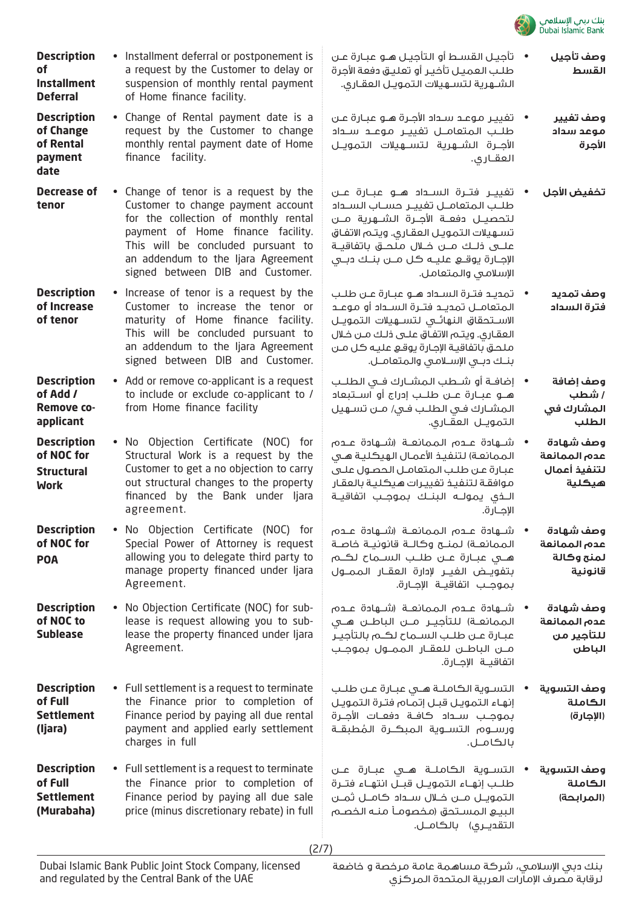

| وصف تأجيل<br>القسط | •     تأحيـل القسـط أو التأجيـل هــو عبـارة عـن<br>طلب العميل تأخير أو تعليق دفعة الأجرة |
|--------------------|------------------------------------------------------------------------------------------|
|                    | الشــهرية لتســهيلات التمويـل العقـارى.                                                  |

- تغييـر موعـد سـداد األجـرة هـو عبـارة عـن طلــب المتعامــل تغييــر موعــد ســداد األجــرة الشــهرية لتســهيالت التمويــل العقــاري. **وصف تغيير موعد سداد األجرة**
- تغييــر فتــرة الســداد هــو عبــارة عــن طلــب المتعامــل تغييــر حســاب الســداد لتحصيــل دفعــة األجــرة الشــهرية مــن تسـهيالت التمويـل العقـاري. ويتـم االتفـاق علــى ذلــك مــن خــال ملحــق باتفاقيــة اإلجــارة يوقــع عليــه كل مــن بنــك دبــي اإلسالمي والمتعامل. **تخفيض األجل**
- تمديــد فتــرة الســداد هــو عبــارة عــن طلــب المتعامــل تمديــد فتــرة الســداد أو موعــد االســتحقاق النهائــي لتســهيالت التمويــل العقـاري. ويتـم االتفـاق علـى ذلـك مـن خـال ملحـق باتفاقيـة اإلجـارة يوقـع عليـه كل مـن بنــك دبــي اإلســامي والمتعامــل. **وصف تمديد فترة السداد**
- إضافــة أو شــطب المشــارك فــي الطلــب هــو عبــارة عــن طلــب إدراج أو اســتبعاد المشـارك فـي الطلـب فـي/ مـن تسـهيل التمويــل العقــاري. **وصف إضافة / شطب المشارك في الطلب**
- شــهادة عــدم الممانعــة )شــهادة عــدم الممانعـة) لتنفيـذ الأعمـال الهيكـليـة هـي عبـارة عـن طلـب المتعامـل الحصـول علـى موافقـة لتنفيـذ تغييـرات هيكليـة بالعقـار الــذي يمولــه البنــك بموجــب اتفاقيــة اإلجــارة. **وصف شهادة عدم الممانعة لتنفيذ أعمال هيكلية**
- شــهادة عــدم الممانعــة )شــهادة عــدم الـممانعــة) لـمنــح وكـالــة قانونيــة خاصــة هــي عبــارة عــن طلــب الســماح لكــم بتفويــض الغيــر إلدارة العقــار الممــول بموجــب اتفاقيــة اإلجــارة. **وصف شهادة عدم الممانعة لمنح وكالة قانونية**
- شــهادة عــدم الممانعــة )شــهادة عــدم الـممانعــة) للـتأجيــر مـــن الـباطـــن هـــى عبــارة عــن طلــب الســماح لكــم بالتأجيــر مــن الباطــن للعقــار الممــول بموجــب اتفاقيــة اإلجــارة. **وصف شهادة عدم الممانعة للتأجير من الباطن**
- التســوية الكاملــة هــي عبــارة عــن طلــب إنهـاء التمويـل قبـل إتمـام فتـرة التمويـل بموجــب ســداد كافــة دفعــات األجــرة ورســوم التســوية الـمبكــرة الـمُطبقــة<br>بالكامــل. **وصف التسوية الكاملة )اإلجارة(**
- التســوية الكاملــة هــي عبــارة عــن طلــب إنهــاء التمويــل قبــل انتهــاء فتــرة التمويــل مــن خــال ســداد كامــل ثمــن البيـع المسـتحق )مخصومـا منـه الخصـم التقديــري) بالكامــل. **وصف التسوية الكاملة )المرابحة(**

an addendum to the Ijara Agreement signed between DIB and Customer. • Increase of tenor is a request by the Customer to increase the tenor or maturity of Home finance facility. This will be concluded pursuant to an addendum to the Ijara Agreement signed between DIB and Customer. • Add or remove co-applicant is a request to include or exclude co-applicant to / from Home finance facility

• Installment deferral or postponement is a request by the Customer to delay or suspension of monthly rental payment

• Change of Rental payment date is a request by the Customer to change monthly rental payment date of Home

Customer to change payment account for the collection of monthly rental payment of Home finance facility. This will be concluded pursuant to

of Home finance facility.

finance facility.

**Decrease of**  • Change of tenor is a request by the

**Description of NOC for Structural Work** • No Objection Certificate (NOC) for Structural Work is a request by the Customer to get a no objection to carry out structural changes to the property financed by the Bank under Ijara agreement.

**Description** 

**Installment Deferral**

**Description of Change of Rental payment date**

**tenor**

**Description of Increase of tenor**

**Description of Add / Remove coapplicant**

**of** 

**Description of NOC for POA** • No Objection Certificate (NOC) for Special Power of Attorney is request allowing you to delegate third party to manage property financed under Ijara Agreement.

**Description of NOC to Sublease** • No Objection Certificate (NOC) for sublease is request allowing you to sublease the property financed under liara Agreement.

**Description of Full Settlement (Ijara)** • Full settlement is a request to terminate the Finance prior to completion of Finance period by paying all due rental payment and applied early settlement charges in full

**Description of Full Settlement (Murabaha)** • Full settlement is a request to terminate the Finance prior to completion of Finance period by paying all due sale price (minus discretionary rebate) in full

(2/7)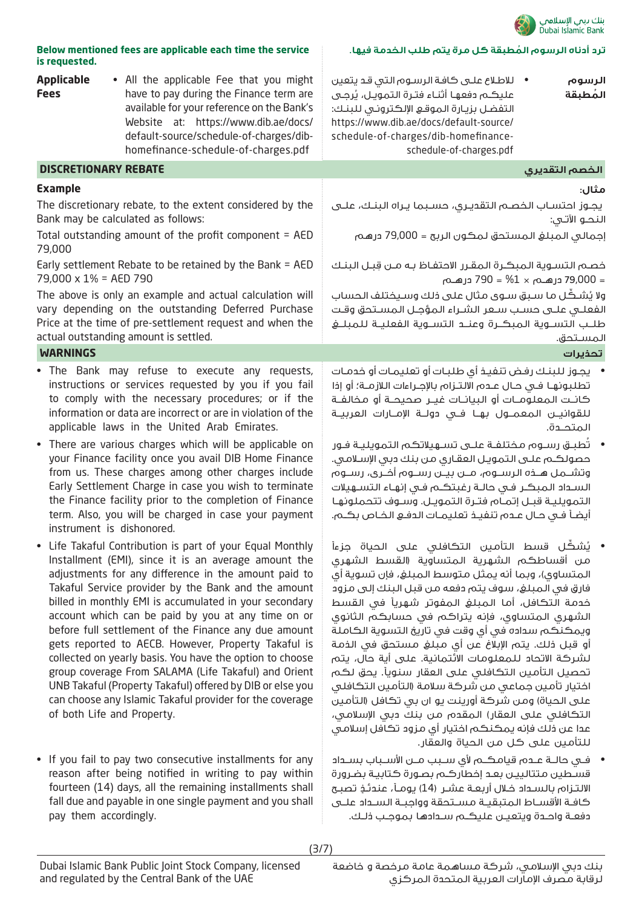

**ُ ترد أدناه الرسوم المطبقة كل مرة يتم طلب الخدمة فيها.**

| Below mentioned fees are applicable each time the service |
|-----------------------------------------------------------|
| is requested.                                             |

| <b>Applicable</b><br><b>Fees</b> | • All the applicable Fee that you might<br>have to pay during the Finance term are<br>available for your reference on the Bank's<br>Website at: https://www.dib.ae/docs/<br>default-source/schedule-of-charges/dib-<br>homefinance-schedule-of-charges.pdf                                                                                                                                                                                                                                                                                                                                                                                                                                                   | • للاطلاع على كافة الرسوم التى قد يتعين<br>الرسوم<br>عليكـم دفعهـا أثنـاء فتـرة الـتمويـل، يُرجـى<br>المُطبقة<br>التفضل بزيارة الموقع الإلكتروني للبنك:<br>https://www.dib.ae/docs/default-source/<br>schedule-of-charges/dib-homefinance-<br>schedule-of-charges.pdf                                                                                                                                                                                                                                                                                                                                                                                                                                                                                                                             |
|----------------------------------|--------------------------------------------------------------------------------------------------------------------------------------------------------------------------------------------------------------------------------------------------------------------------------------------------------------------------------------------------------------------------------------------------------------------------------------------------------------------------------------------------------------------------------------------------------------------------------------------------------------------------------------------------------------------------------------------------------------|---------------------------------------------------------------------------------------------------------------------------------------------------------------------------------------------------------------------------------------------------------------------------------------------------------------------------------------------------------------------------------------------------------------------------------------------------------------------------------------------------------------------------------------------------------------------------------------------------------------------------------------------------------------------------------------------------------------------------------------------------------------------------------------------------|
| <b>DISCRETIONARY REBATE</b>      |                                                                                                                                                                                                                                                                                                                                                                                                                                                                                                                                                                                                                                                                                                              | الخصم التقديري                                                                                                                                                                                                                                                                                                                                                                                                                                                                                                                                                                                                                                                                                                                                                                                    |
| <b>Example</b>                   |                                                                                                                                                                                                                                                                                                                                                                                                                                                                                                                                                                                                                                                                                                              | مثال:                                                                                                                                                                                                                                                                                                                                                                                                                                                                                                                                                                                                                                                                                                                                                                                             |
|                                  | The discretionary rebate, to the extent considered by the<br>Bank may be calculated as follows:                                                                                                                                                                                                                                                                                                                                                                                                                                                                                                                                                                                                              | يجوز احتساب الخصم التقديري، حسبما يراه البنك، علـي<br>النحـو الآتـي:                                                                                                                                                                                                                                                                                                                                                                                                                                                                                                                                                                                                                                                                                                                              |
| 79,000                           | Total outstanding amount of the profit component = AED                                                                                                                                                                                                                                                                                                                                                                                                                                                                                                                                                                                                                                                       | إجمالى المبلغ المستحق لمكون الربح = 79,000 درهم                                                                                                                                                                                                                                                                                                                                                                                                                                                                                                                                                                                                                                                                                                                                                   |
| 79,000 x 1% = AED 790            | Early settlement Rebate to be retained by the Bank = AED                                                                                                                                                                                                                                                                                                                                                                                                                                                                                                                                                                                                                                                     | خصم التسوية المبكرة المقرر الاحتفاظ به مـن قِبـل البنـك                                                                                                                                                                                                                                                                                                                                                                                                                                                                                                                                                                                                                                                                                                                                           |
|                                  | The above is only an example and actual calculation will<br>vary depending on the outstanding Deferred Purchase<br>Price at the time of pre-settlement request and when the<br>actual outstanding amount is settled.                                                                                                                                                                                                                                                                                                                                                                                                                                                                                         | ولا يُشكِّل ما سبق سوى مثال على ذلك وسيختلف الحساب<br>الفعلـى علـى حسـب سـعر الشـراء المؤجـل المسـتحق وقـت<br>طلب التســوية المبكــرة وعنــد التســوية الفعليــة للمبلــغ<br>المستحق.                                                                                                                                                                                                                                                                                                                                                                                                                                                                                                                                                                                                             |
| <b>WARNINGS</b>                  |                                                                                                                                                                                                                                                                                                                                                                                                                                                                                                                                                                                                                                                                                                              | تحذيرات                                                                                                                                                                                                                                                                                                                                                                                                                                                                                                                                                                                                                                                                                                                                                                                           |
| instrument is dishonored.        | . The Bank may refuse to execute any requests,<br>instructions or services requested by you if you fail<br>to comply with the necessary procedures; or if the<br>information or data are incorrect or are in violation of the<br>applicable laws in the United Arab Emirates.<br>• There are various charges which will be applicable on<br>your Finance facility once you avail DIB Home Finance<br>from us. These charges among other charges include<br>Early Settlement Charge in case you wish to terminate<br>the Finance facility prior to the completion of Finance<br>term. Also, you will be charged in case your payment                                                                          | •     يجوز للبنك رفض تنفيذ أى طلبات أو تعليمات أو خدمات<br>تطلبونها في حال عـده الالتـزاه بالإجـراءات اللازمـة؛ أو إذا<br>كانـت المعلومــات أو البيانــات غيــر صحيحــة أو مخالفــة<br>للقوانيــن الـمعمــول بهــا فــي دولــة الإمــارات العربيــة<br>المتحدة.<br>•      تُطبــق رســوم مـختلفـة علــى تســهيلاتكـم الـتمويليـة فــور<br>حصولكـم علـى التمويـل العقـاري مـن بنك دبي الإسـلامـي.<br>وتشــمل هــذه الرســوم، مــن بيــن رســوم أخــرى، رســوم<br>السداد المبكر فى حالـة رغبتكـم فى إنهـاء التسـهيلات<br>التمويلية قبـل إتمـام فتـرة التمويـل. وسـوف تتحملونهـا<br>أيضاً فـى حـال عـده، تنفيـذ تعليمـات الدفـع الخـاص بكــه.                                                                                                                                                        |
| of both Life and Property.       | • Life Takaful Contribution is part of your Equal Monthly<br>Installment (EMI), since it is an average amount the<br>adjustments for any difference in the amount paid to<br>Takaful Service provider by the Bank and the amount<br>billed in monthly EMI is accumulated in your secondary<br>account which can be paid by you at any time on or<br>before full settlement of the Finance any due amount<br>gets reported to AECB. However, Property Takaful is<br>collected on yearly basis. You have the option to choose<br>group coverage From SALAMA (Life Takaful) and Orient<br>UNB Takaful (Property Takaful) offered by DIB or else you<br>can choose any Islamic Takaful provider for the coverage | • يُشكِّل قسط التأمين التكافلي على الحياة جزءاً<br>من أقساطكم الشهرية المتساوية (القسط الشهرى<br>المتساوي)، وبما أنه يمثل متوسط المبلغ، فإن تسوية أي<br>فارق في المبلغ، سوف يتم دفعه من قبل البنك إلى مزود<br>خدمة التكافل، أما المبلغ المفوتر شهريأ في القسط<br>الشهري المتساوي، فإنه يتراكم في حسابكم الثانوي<br>ويمكنكم سداده في أي وقت في تاريخ التسوية الكاملة<br>أو قبل ذلك. يتم الإبلاغ عن أي مبلغ مستحق في الذمة<br>لشركة الاتحاد للمعلومات الائتمانية. على أية حال، يتم<br>تحصيل التأمين التكافلي على العقار سنوياً. يحق لكم<br>اختيار تأمين جماعى من شركة سلامة (التأمين التكافلى<br>على الحياة) ومن شركة أورينت يو ان بي تكافل (التأمين<br>التكافلي على العقار) المقدم من بنك دبي الإسلامي،<br>عدا عن ذلك فإنه يمكنكم اختيار أي مزود تكافل إسلامي<br>للتأمين على كل من الحياة والعقار. |
|                                  | • If you fail to pay two consecutive installments for any<br>reason after being notified in writing to pay within<br>fourteen (14) days, all the remaining installments shall<br>fall due and payable in one single payment and you shall                                                                                                                                                                                                                                                                                                                                                                                                                                                                    | •    فــي حالــة عــدم قيامـكــم لأي ســبب مــن الأســباب بســداد<br>قسطين متتاليين بعد إخطاركم بصورة كتابية بضرورة<br>الالتـزام بالـسـداد خـلال أربعــة عـشــر (14) يومــأ، عنـدئــف تصبــح<br>كافـة الأقســاط المتبقيـة مســتحقة وواجبــة الســداد علــى                                                                                                                                                                                                                                                                                                                                                                                                                                                                                                                                        |

pay them accordingly.

دفعــة واحــدة ويتعيــن عليكــم ســدادها بموجــب ذلــك.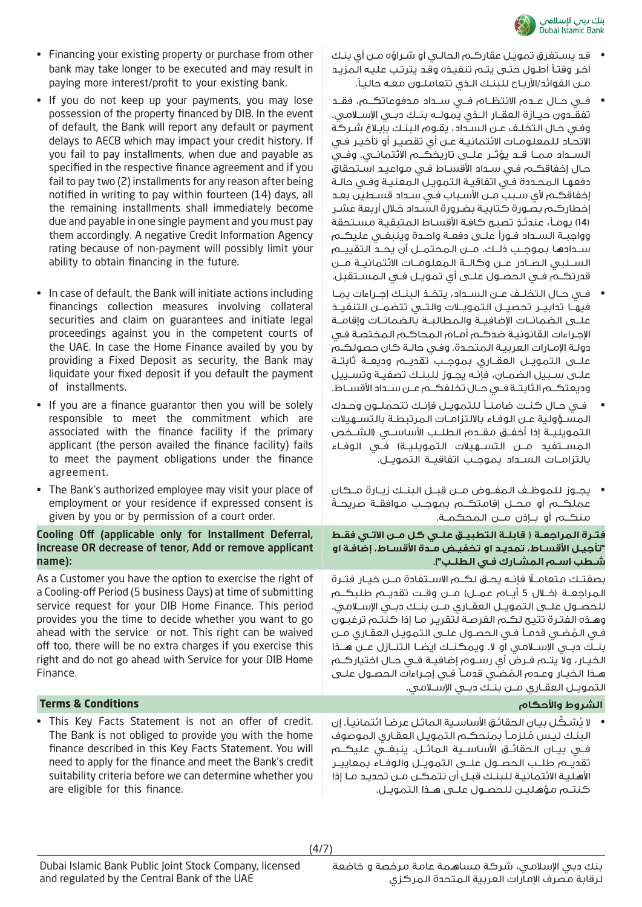

- قـد يسـتغرق تمويـل عقاركـم الحالـي أو شـراؤه مـن أي بنـك آخـر وقتـا أطـول حتـى يتـم تنفيـذه وقـد يترتـب عليـه المزيـد مـن الفوائد/األربـاح للبنـك الـذي تتعاملـون معـه حاليـا.
- فــي حــال عــدم االنتظــام فــي ســداد مدفوعاتكــم، فقــد تفقــدون حيــازة العقــار الــذي يمولــه بنــك دبــي اإلســامي. وفـي حـال التخلـف عـن السـداد، يقـوم البنـك بإبـاغ شـركة االتحـاد للمعلومـات االئتمانيـة عـن أي تقصيـر أو تأخيـر فـي الســداد ممــا قــد يؤثــر علــى تاريخكــم االئتمانــي. وفــي حـال إخفاقكـم فـي سـداد األقسـاط فـي مواعيـد اسـتحقاق دفعهـا المحـددة فـي اتفاقيـة التمويـل المعنيـة وفـي حالـة اخفاقكـم لأي سـبب مـن الأسـباب فـي سـداد قسـطين بعـد إخطاركـم بصـورة كتابيـة بضـرورة السـداد خـال أربعة عشـر )14 ٍ ( يومـا، عندئـذ تصبـح كافـة األقسـاط المتبقيـة مسـتحقة وواجبــة الســداد فــورًا علــى دفعــة واحــدة وينبغــي عليكــم ســدادها بموجــب ذلــك. مــن المحتمــل أن يحــد التقييــم الســلبي الصــادر عــن وكالــة المعلومــات االئتمانيــة مــن قدرتكــم فــي الحصــول علــى أي تمويــل فــي المســتقبل.
- فــي حــال التخلــف عــن الســداد، يتخــذ البنــك إجــراءات بمــا فيهــا تدابيــر تحصيــل التمويــات والتــي تتضمــن التنفيــذ علــى الضمانــات اإلضافيــة والمطالبــة بالضمانــات وإقامــة اإلجـراءات القانونيـة ضدكـم أمـام المحاكـم المختصـة فـي دولـة اإلمـارات العربيـة المتحـدة. وفـي حالـة كان حصولكـم علــى التمويــل العقــاري بموجــب تقديــم وديعــة ثابتــة علـى سـبيل الضمـان، فإنـه يجـوز للبنـك تصفيـة وتسـييل وديعتكــم الثابتــة فــي حــال تخلفكــم عــن ســداد األقســاط.
- فــي حــال كنــت ضامنــا للتمويــل فإنــك تتحملــون وحــدك المسـؤولية عـن الوفـاء بااللتزامـات المرتبطـة بالتسـهيالت الـتمويليــة إذا أخفــق مـقــدم الـطلــب الأساســي (الشــخص الـمســتفيد مــن الـتســـهيلات الـتمـويليــة) فــي الـوفــاء بالتزامــات الســداد بموجــب اتفاقيــة التمويــل.
- ِ يجــوز للموظــف المفــوض مــن قبــل البنــك زيــارة مــكان ً عملكــم أو محــل إقامتكــم بموجــب موافقــة صريحــة منكــم أو بــإذن مــن المحكمــة.

**فتــرة المراجعــة ) قابلــة التطبيــق علــي كل مــن االتــي فقــط "تأجيـل األقسـاط، تمديـد او تخفيـض مـدة األقسـاط، إضافـة او شــطب اســم المشــارك فــي الطلــب"(.**

ً بصفتــك متعامــا فإنــه يحــق لكــم االســتفادة مــن خيــار فتــرة الـمـراجعـــة (خـــلال 5 أيـــام عـمـــل) مــــن وقــت تقديـــم طـلـبكـــم للحصــول علــى التمويــل العقــاري مــن بنــك دبــي اإلســامي. وهـذه الفتـرة تتيـح لكـم الفرصـة لتقريـر مـا إذا كنتـم ترغبـون فــي الـمُـضــي قدمــأ فــي الـحصــول علـــى الـتمـويــل الـعقــاري مــن<br>بنــك دبـــى الإســـلامــى او لا. ويمكنــك ايضــا الـتنـــازل عـــن هـــذا الخيــار، وال يتــم فــرض أي رســوم إضافيــة فــي حــال اختياركــم التمويــل العقــاري مــن بنــك دبــي اإلســامي. ُ هـذا الخيـار وعـدم المضـي قدمـا فـي إجـراءات الحصـول علـى

• لا يُشـكُـل بيـانِ الحقائـق الأساسـية الـماثـل عرضاً ائتمانيـاً. إن البنـك ليـس ملزمـا بمنحكـم التمويـل العقـاري الموصوف ا<br>ا فــي بيــان الحقائــق األساســية الماثــل. ينبغــي عليكــم تقديــم طلــب الحصــول علــى التمويــل والوفــاء بمعاييــر األهليـة االئتمانيـة للبنـك قبـل أن نتمكـن مـن تحديـد مـا إذا كنتــم مؤهليــن للحصــول علــى هــذا التمويــل.

- Financing your existing property or purchase from other bank may take longer to be executed and may result in paying more interest/profit to your existing bank.
- If you do not keep up your payments, you may lose possession of the property financed by DIB. In the event of default, the Bank will report any default or payment delays to AECB which may impact your credit history. If you fail to pay installments, when due and payable as specified in the respective finance agreement and if you fail to pay two (2) installments for any reason after being notified in writing to pay within fourteen (14) days, all the remaining installments shall immediately become due and payable in one single payment and you must pay them accordingly. A negative Credit Information Agency rating because of non-payment will possibly limit your ability to obtain financing in the future.
- In case of default, the Bank will initiate actions including financings collection measures involving collateral securities and claim on guarantees and initiate legal proceedings against you in the competent courts of the UAE. In case the Home Finance availed by you by providing a Fixed Deposit as security, the Bank may liquidate your fixed deposit if you default the payment of installments.
- If you are a finance guarantor then you will be solely responsible to meet the commitment which are associated with the finance facility if the primary applicant (the person availed the finance facility) fails to meet the payment obligations under the finance agreement.
- The Bank's authorized employee may visit your place of employment or your residence if expressed consent is given by you or by permission of a court order.

### Cooling Off (applicable only for Installment Deferral, Increase OR decrease of tenor, Add or remove applicant name):

As a Customer you have the option to exercise the right of a Cooling-off Period (5 business Days) at time of submitting service request for your DIB Home Finance. This period provides you the time to decide whether you want to go ahead with the service or not. This right can be waived off too, there will be no extra charges if you exercise this right and do not go ahead with Service for your DIB Home Finance.

### **الشروط واألحكام Conditions & Terms**

• This Key Facts Statement is not an offer of credit. The Bank is not obliged to provide you with the home finance described in this Key Facts Statement. You will need to apply for the finance and meet the Bank's credit suitability criteria before we can determine whether you are eligible for this finance.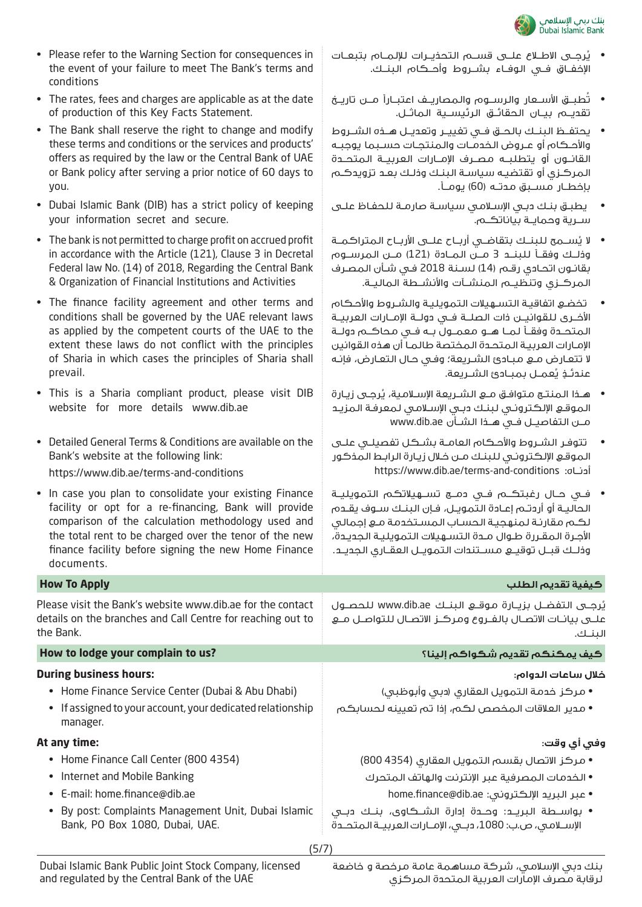

- Please refer to the Warning Section for consequences in the event of your failure to meet The Bank's terms and conditions
- The rates, fees and charges are applicable as at the date of production of this Key Facts Statement.
- The Bank shall reserve the right to change and modify these terms and conditions or the services and products' offers as required by the law or the Central Bank of UAE or Bank policy after serving a prior notice of 60 days to you.
- Dubai Islamic Bank (DIB) has a strict policy of keeping your information secret and secure.
- The bank is not permitted to charge profit on accrued profit in accordance with the Article (121), Clause 3 in Decretal Federal law No. (14) of 2018, Regarding the Central Bank & Organization of Financial Institutions and Activities
- The finance facility agreement and other terms and conditions shall be governed by the UAE relevant laws as applied by the competent courts of the UAE to the extent these laws do not conflict with the principles of Sharia in which cases the principles of Sharia shall prevail.
- This is a Sharia compliant product, please visit DIB website for more details www.dib.ae
- Detailed General Terms & Conditions are available on the Bank's website at the following link:

https://www.dib.ae/terms-and-conditions

- In case you plan to consolidate your existing Finance facility or opt for a re-financing, Bank will provide comparison of the calculation methodology used and the total rent to be charged over the tenor of the new finance facility before signing the new Home Finance documents.
- **كيفية تقديم الطلب Apply To How** Please visit the Bank's website www.dib.ae for the contact details on the branches and Call Centre for reaching out to the Bank. **How to lodge your complain to us? إلينا؟ شكواكم تقديم يمكنكم كيف**

#### **During business hours:**

- Home Finance Service Center (Dubai & Abu Dhabi)
- If assigned to your account, your dedicated relationship manager.

#### **At any time:**

- Home Finance Call Center (800 4354)
- Internet and Mobile Banking
- E-mail: home.finance@dib.ae
- By post: Complaints Management Unit, Dubai Islamic Bank, PO Box 1080, Dubai, UAE.
	- (5/7)
- يُرجــى الاطــلاع عـلــى قســم التحذيــرات للإلمــام بتبعــات اإلخفــاق فــي الوفــاء بشــروط وأحــكام البنــك.
- تُطبــق الأســعار والرســوم والمصاريــف اعتبــاراً مـــن تاريــخ تقديــم بيــان الحقائــق الرئيســية الماثــل.
- يحتفــظ البنــك بالحــق فــي تغييــر وتعديــل هــذه الشــروط واألحــكام أو عــروض الخدمــات والمنتجــات حســبما يوجبــه القانــون أو يتطلبــه مصــرف اإلمــارات العربيــة المتحــدة المركـزي أو تقتضيـه سياسـة البنـك وذلـك بعـد تزويدكـم بإخطــار مســبق مدتــه (60) يومــأ.
- يطبـق بنـك دبـي اإلسـامي سياسـة صارمـة للحفـاظ علـى ســرية وحمايــة بياناتكــم.
- لا يُســـمح لـلبِنــك بتقاضــي أربــاح علـــى الأربــاح الـمتراكـمــة وذلــك وفقــا للبنــد 3 مــن المــادة )121( مــن المرســوم بقانـون اتحـادي رقـم )14( لسـنة 2018 فـي شـأن المصـرف المركــزي وتنظيــم المنشــآت واألنشــطة الماليــة.
- تخضـع اتفاقيـة التسـهيالت التمويليـة والشـروط واألحـكام األخــرى للقوانيــن ذات الصلــة فــي دولــة اإلمــارات العربيــة المتحــدة وفقــا لمــا هــو معمــول بــه فــي محاكــم دولــة اإلمـارات العربيـة المتحـدة المختصة طالمـا أن هذه القوانين ال تتعـارض مـع مبـادئ الشـريعة؛ وفـي حـال التعـارض، فإنـه عندئـــذٍ يُعمــل بمبــادئ الشــريعة.
- هـذا الـمنتـج مـتوافـق مــع الـشــريعة الإســلامـية، يُرجــى زيـارة الموقـع اإللكترونـي لبنـك دبـي اإلسـامي لمعرفـة المزيـد مــن التفاصيــل فــي هــذا الشــأن ae.dib.www
- تتوفـر الشـروط واألحـكام العامـة بشـكل تفصيلـي علـى الموقـع اإللكترونـي للبنـك مـن خـال زيـارة الرابـط المذكور https://www.dib.ae/terms-and-conditions :أدنــاه
- فــي حــال رغبتكــم فــي دمــج تســهيالتكم التمويليــة الحاليــة أو أردتــم إعــادة التمويــل، فــإن البنــك ســوف يقــدم لكـم مقارنـة لمنهجيـة الحسـاب المسـتخدمة مـع إجمالي األجـرة المقـررة طـوال مـدة التسـهيالت التمويليـة الجديـدة، وذلــك قبــل توقيــع مســتندات التمويــل العقــاري الجديــد.

يُرجــى التفضــل بزيــارة مـوقـــع البنــك www.dib.ae للحصــول علــى بيانــات الاتصــال بالفــروع ومركــز الاتصــال للـتواصــل مــع البنــك.

### **خالل ساعات الدوام:**

- مركز خدمة التمويل العقاري (دبي وأبوظبي)
- مدير العالقات المخصص لكم، إذا تم تعيينه لحسابكم

## **وفي أي وقت:**

- مركز االتصال بقسم التمويل العقاري )4354 800(
	- الخدمات المصرفية عبر اإلنترنت والهاتف المتحرك
		- home.finance@dib.ae :اإللكتروني البريد عبر•
- بواســطة البريــد: وحــدة إدارة الشــكاوى، بنــك دبــي اإلســامي، ص.ب: ،1080 دبــي، اإلمــارات العربيــة المتحــدة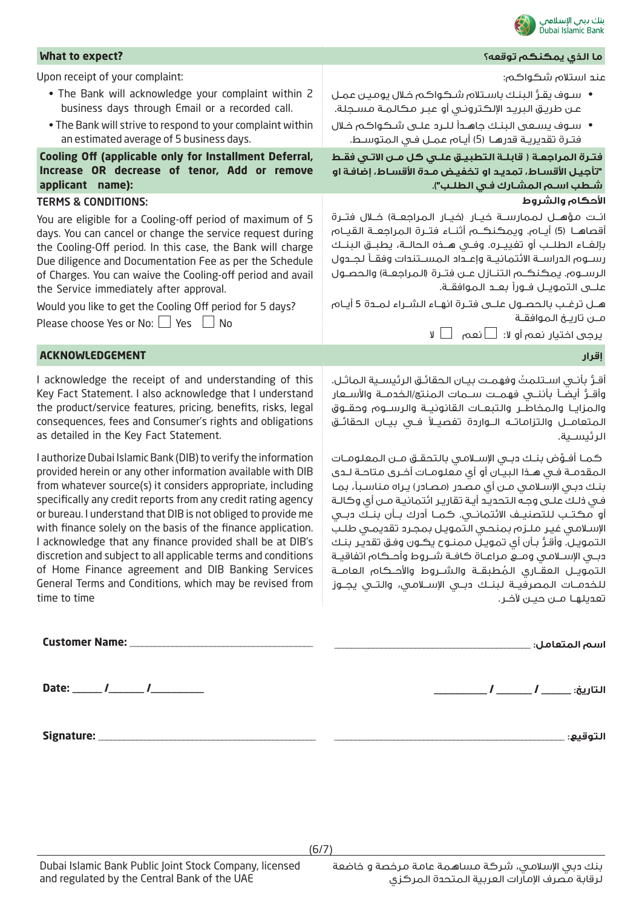

| What to expect?                                                                                                                                                                                                                                                                                                                                                                                                                                                                                                                                                                                                                                               | ما الذي يمكنكم توقعه؟                                                                                                                                                                                                                                                                                                                                                                                                                                                                                                                                                                                                                                                                |
|---------------------------------------------------------------------------------------------------------------------------------------------------------------------------------------------------------------------------------------------------------------------------------------------------------------------------------------------------------------------------------------------------------------------------------------------------------------------------------------------------------------------------------------------------------------------------------------------------------------------------------------------------------------|--------------------------------------------------------------------------------------------------------------------------------------------------------------------------------------------------------------------------------------------------------------------------------------------------------------------------------------------------------------------------------------------------------------------------------------------------------------------------------------------------------------------------------------------------------------------------------------------------------------------------------------------------------------------------------------|
| Upon receipt of your complaint:                                                                                                                                                                                                                                                                                                                                                                                                                                                                                                                                                                                                                               | عند استلام شكواكم:                                                                                                                                                                                                                                                                                                                                                                                                                                                                                                                                                                                                                                                                   |
| . The Bank will acknowledge your complaint within 2<br>business days through Email or a recorded call.                                                                                                                                                                                                                                                                                                                                                                                                                                                                                                                                                        | • سوف يقرُّ البنك باستلام شكواكم خلال يومين عمل<br>عـن طريـق البريـد الإلكـترونـي أو عبـر مكالمـة مسـجلة.                                                                                                                                                                                                                                                                                                                                                                                                                                                                                                                                                                            |
| . The Bank will strive to respond to your complaint within<br>an estimated average of 5 business days.                                                                                                                                                                                                                                                                                                                                                                                                                                                                                                                                                        | • سوف يسعى البنك جاهدأ للـرد علـى شـكواكم خـلال<br>فتـرة تقديريـة قدرهـا (5) أيـام عمـل فـى المتوسـط.                                                                                                                                                                                                                                                                                                                                                                                                                                                                                                                                                                                |
| Cooling Off (applicable only for Installment Deferral,                                                                                                                                                                                                                                                                                                                                                                                                                                                                                                                                                                                                        | فترة المراجعـة ( قابلـة التطبيـق علـي كل مـن الاتـي فقـط                                                                                                                                                                                                                                                                                                                                                                                                                                                                                                                                                                                                                             |
| Increase OR decrease of tenor, Add or remove<br>applicant name):                                                                                                                                                                                                                                                                                                                                                                                                                                                                                                                                                                                              | "تأجيل الأقساط، تمديد او تخفيض مدة الأقساط، إضافة او                                                                                                                                                                                                                                                                                                                                                                                                                                                                                                                                                                                                                                 |
| <b>TERMS &amp; CONDITIONS:</b>                                                                                                                                                                                                                                                                                                                                                                                                                                                                                                                                                                                                                                | شطب اسم المشارك في الطلب").<br>الأحكام والشروط                                                                                                                                                                                                                                                                                                                                                                                                                                                                                                                                                                                                                                       |
| You are eligible for a Cooling-off period of maximum of 5<br>days. You can cancel or change the service request during<br>the Cooling-Off period. In this case, the Bank will charge<br>Due diligence and Documentation Fee as per the Schedule<br>of Charges. You can waive the Cooling-off period and avail<br>the Service immediately after approval.<br>Would you like to get the Cooling Off period for 5 days?                                                                                                                                                                                                                                          | انـت مؤهــل لـممارســة خيــار (خيـار الـمـراجعــة) خــلال فتــرة<br>أقصاهـــا (5) أيــام. ويمـكـنـكـــم أثنـــاء فتــرة الـمراجعــة الـقيــام<br>بإلغـاء الطلــب أو تغييــره. وفــي هــذه الحالــة، يطبــق البنــك<br>رســوم الدراســة الائتمانيــة وإعــداد المســتندات وفقــأ لجــدول<br>الرسـوم. يمكنكـم التنـازل عـن فتـرة (المراجعـة) والحصـول<br>علــــى الـتمويـــل فــورأ بعـــد الـموافقــة.<br>هــل ترغــب بالـحصــول علـــى فتــرة انهــاء الـشــراء لـمــدة 5 أيــام                                                                                                                                                                                                     |
| Please choose Yes or No: $\Box$ Yes $\Box$ No                                                                                                                                                                                                                                                                                                                                                                                                                                                                                                                                                                                                                 | مـن تاريــخ الـموافقــة                                                                                                                                                                                                                                                                                                                                                                                                                                                                                                                                                                                                                                                              |
|                                                                                                                                                                                                                                                                                                                                                                                                                                                                                                                                                                                                                                                               | یرجی اختیار نعم أو لا: ١__ انعم             لا                                                                                                                                                                                                                                                                                                                                                                                                                                                                                                                                                                                                                                       |
| <b>ACKNOWLEDGEMENT</b>                                                                                                                                                                                                                                                                                                                                                                                                                                                                                                                                                                                                                                        | إقرار                                                                                                                                                                                                                                                                                                                                                                                                                                                                                                                                                                                                                                                                                |
| I acknowledge the receipt of and understanding of this<br>Key Fact Statement. I also acknowledge that I understand<br>the product/service features, pricing, benefits, risks, legal<br>consequences, fees and Consumer's rights and obligations<br>as detailed in the Key Fact Statement.                                                                                                                                                                                                                                                                                                                                                                     | أقـرُّ بأنـى اسـتلمتُ وفهمـت بيـان الحقائـق الرئيسـية الماثـل.<br>وأقــرُّ أيضــأ بأننـــى فهمــت ســـمات الـمنتج/الـخدمـــة والأســـعار<br>والمزايـا والمخاطـر والتبعـات القانونيـة والرســوم وحقــوق<br>المتعامـــل والتزاماتــه الـــواردة تفصيــلأ فــى بيــان الـحقائــق<br>الرئيسـية.                                                                                                                                                                                                                                                                                                                                                                                          |
| I authorize Dubai Islamic Bank (DIB) to verify the information<br>provided herein or any other information available with DIB<br>from whatever source(s) it considers appropriate, including<br>specifically any credit reports from any credit rating agency<br>or bureau. I understand that DIB is not obliged to provide me<br>with finance solely on the basis of the finance application.<br>I acknowledge that any finance provided shall be at DIB's<br>discretion and subject to all applicable terms and conditions<br>of Home Finance agreement and DIB Banking Services<br>General Terms and Conditions, which may be revised from<br>time to time | كمـا أفـوِّض بنـك دبـى الإسـلامـى بالتحقـق مــن الـمعلـومــات<br>المقدمـة فـي هـذا البيـان أو أي معلومـات أخـرى مـتاحـة لـدى<br>بنك دبـي الإسلامـي مـن أي مصـدر (مصـادر) يـراه مـناسـبـأ، بمـا<br>في ذلك علـى وجـه التحديـد أيـة تقاريـر ائتمانيـة مـن أي وكالـة<br>أو مكتــب للتصنيــف الائتمانــي. كـمــا أدرك بــأن بنــك دبــي<br>الإسلامي غير ملزم بمنحي التمويل بمجرد تقديمى طلب<br>التمويل. وأقرُّ بأن أي تمويل ممنـوح يكـون وفـق تقدير بنـك<br>دبـى الإســلامـى ومــع مراعــاة كافــة شــروط وأحــكام اتفاقيــة<br>التمويـل العقـاري المُطبقــة والشــروط والأحــكام العامــة<br>للخدمــات المصرفيــة لبنــك دبــى الإســلامـى، والتــى يجــوز<br>تعديلهـا مــن حيــن لآخـر. |
|                                                                                                                                                                                                                                                                                                                                                                                                                                                                                                                                                                                                                                                               |                                                                                                                                                                                                                                                                                                                                                                                                                                                                                                                                                                                                                                                                                      |
|                                                                                                                                                                                                                                                                                                                                                                                                                                                                                                                                                                                                                                                               |                                                                                                                                                                                                                                                                                                                                                                                                                                                                                                                                                                                                                                                                                      |
|                                                                                                                                                                                                                                                                                                                                                                                                                                                                                                                                                                                                                                                               | التوقيع: _                                                                                                                                                                                                                                                                                                                                                                                                                                                                                                                                                                                                                                                                           |